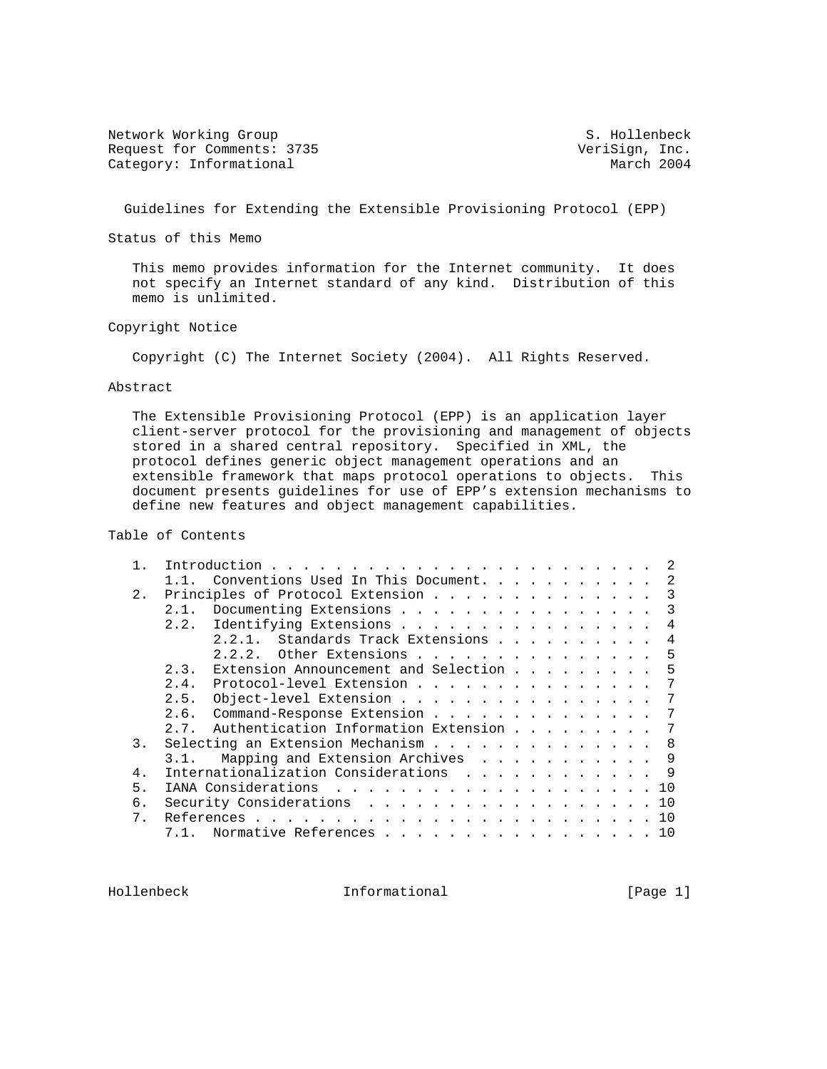Network Working Group S. Hollenbeck Request for Comments: 3735 VeriSign, Inc.<br>
Category: Informational March 2004 Category: Informational

Guidelines for Extending the Extensible Provisioning Protocol (EPP)

Status of this Memo

 This memo provides information for the Internet community. It does not specify an Internet standard of any kind. Distribution of this memo is unlimited.

Copyright Notice

Copyright (C) The Internet Society (2004). All Rights Reserved.

#### Abstract

 The Extensible Provisioning Protocol (EPP) is an application layer client-server protocol for the provisioning and management of objects stored in a shared central repository. Specified in XML, the protocol defines generic object management operations and an extensible framework that maps protocol operations to objects. This document presents guidelines for use of EPP's extension mechanisms to define new features and object management capabilities.

Table of Contents

|       | Introduction.<br>the contract of the contract of the contract of the contract of the contract of the contract of the contract of |   |
|-------|----------------------------------------------------------------------------------------------------------------------------------|---|
|       | Conventions Used In This Document.                                                                                               | 2 |
| 2.    | Principles of Protocol Extension                                                                                                 | 3 |
|       | Documenting Extensions<br>2.1.                                                                                                   | 3 |
|       | Identifying Extensions<br>2.2.                                                                                                   | 4 |
|       | 2.2.1. Standards Track Extensions                                                                                                | 4 |
|       |                                                                                                                                  | 5 |
|       | Extension Announcement and Selection<br>2.3.                                                                                     | 5 |
|       | Protocol-level Extension<br>2.4.                                                                                                 |   |
|       | Object-level Extension<br>2.5.                                                                                                   |   |
|       | Command-Response Extension<br>2.6.                                                                                               |   |
|       | Authentication Information Extension<br>2.7.                                                                                     |   |
| 3.    | Selecting an Extension Mechanism                                                                                                 | 8 |
|       | Mapping and Extension Archives<br>3.1.                                                                                           | 9 |
| 4.    | Internationalization Considerations                                                                                              | 9 |
| 5.    | IANA Considerations 10                                                                                                           |   |
| б.    | 10                                                                                                                               |   |
| $7$ . | 10                                                                                                                               |   |
|       | Normative References<br>10                                                                                                       |   |
|       |                                                                                                                                  |   |

Hollenbeck Informational [Page 1]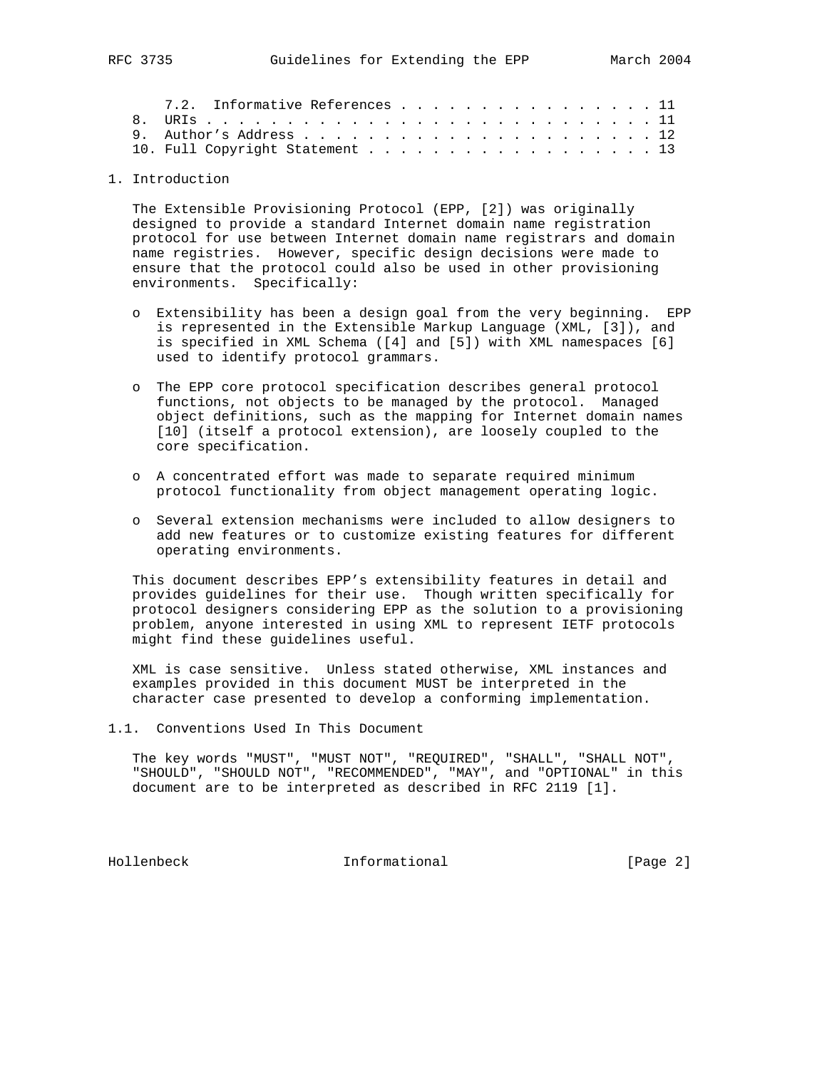|                                 | 7.2. Informative References 11 |  |  |  |  |  |  |  |  |  |  |  |  |  |
|---------------------------------|--------------------------------|--|--|--|--|--|--|--|--|--|--|--|--|--|
|                                 |                                |  |  |  |  |  |  |  |  |  |  |  |  |  |
|                                 |                                |  |  |  |  |  |  |  |  |  |  |  |  |  |
| 10. Full Copyright Statement 13 |                                |  |  |  |  |  |  |  |  |  |  |  |  |  |

## 1. Introduction

 The Extensible Provisioning Protocol (EPP, [2]) was originally designed to provide a standard Internet domain name registration protocol for use between Internet domain name registrars and domain name registries. However, specific design decisions were made to ensure that the protocol could also be used in other provisioning environments. Specifically:

- o Extensibility has been a design goal from the very beginning. EPP is represented in the Extensible Markup Language (XML, [3]), and is specified in XML Schema ([4] and [5]) with XML namespaces [6] used to identify protocol grammars.
- o The EPP core protocol specification describes general protocol functions, not objects to be managed by the protocol. Managed object definitions, such as the mapping for Internet domain names [10] (itself a protocol extension), are loosely coupled to the core specification.
- o A concentrated effort was made to separate required minimum protocol functionality from object management operating logic.
- o Several extension mechanisms were included to allow designers to add new features or to customize existing features for different operating environments.

 This document describes EPP's extensibility features in detail and provides guidelines for their use. Though written specifically for protocol designers considering EPP as the solution to a provisioning problem, anyone interested in using XML to represent IETF protocols might find these guidelines useful.

 XML is case sensitive. Unless stated otherwise, XML instances and examples provided in this document MUST be interpreted in the character case presented to develop a conforming implementation.

1.1. Conventions Used In This Document

 The key words "MUST", "MUST NOT", "REQUIRED", "SHALL", "SHALL NOT", "SHOULD", "SHOULD NOT", "RECOMMENDED", "MAY", and "OPTIONAL" in this document are to be interpreted as described in RFC 2119 [1].

Hollenbeck Informational [Page 2]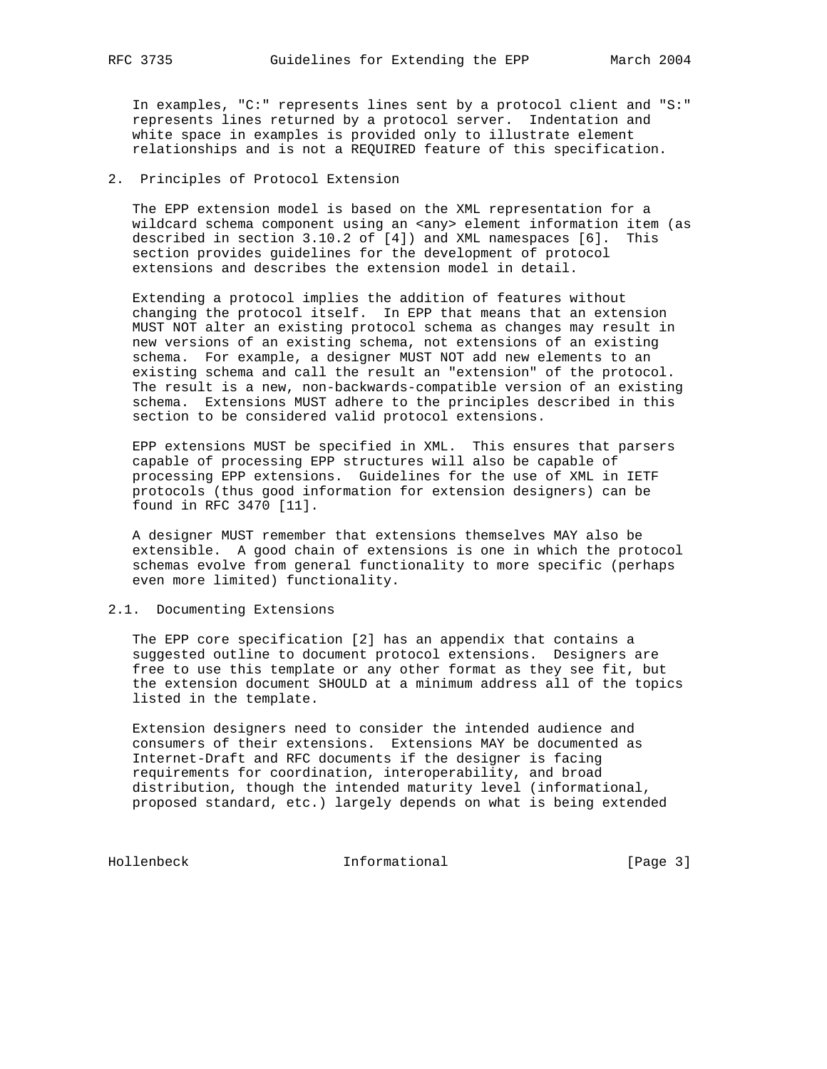In examples, "C:" represents lines sent by a protocol client and "S:" represents lines returned by a protocol server. Indentation and white space in examples is provided only to illustrate element relationships and is not a REQUIRED feature of this specification.

## 2. Principles of Protocol Extension

 The EPP extension model is based on the XML representation for a wildcard schema component using an <any> element information item (as described in section 3.10.2 of [4]) and XML namespaces [6]. This section provides guidelines for the development of protocol extensions and describes the extension model in detail.

 Extending a protocol implies the addition of features without changing the protocol itself. In EPP that means that an extension MUST NOT alter an existing protocol schema as changes may result in new versions of an existing schema, not extensions of an existing schema. For example, a designer MUST NOT add new elements to an existing schema and call the result an "extension" of the protocol. The result is a new, non-backwards-compatible version of an existing schema. Extensions MUST adhere to the principles described in this section to be considered valid protocol extensions.

 EPP extensions MUST be specified in XML. This ensures that parsers capable of processing EPP structures will also be capable of processing EPP extensions. Guidelines for the use of XML in IETF protocols (thus good information for extension designers) can be found in RFC 3470 [11].

 A designer MUST remember that extensions themselves MAY also be extensible. A good chain of extensions is one in which the protocol schemas evolve from general functionality to more specific (perhaps even more limited) functionality.

#### 2.1. Documenting Extensions

 The EPP core specification [2] has an appendix that contains a suggested outline to document protocol extensions. Designers are free to use this template or any other format as they see fit, but the extension document SHOULD at a minimum address all of the topics listed in the template.

 Extension designers need to consider the intended audience and consumers of their extensions. Extensions MAY be documented as Internet-Draft and RFC documents if the designer is facing requirements for coordination, interoperability, and broad distribution, though the intended maturity level (informational, proposed standard, etc.) largely depends on what is being extended

Hollenbeck Informational [Page 3]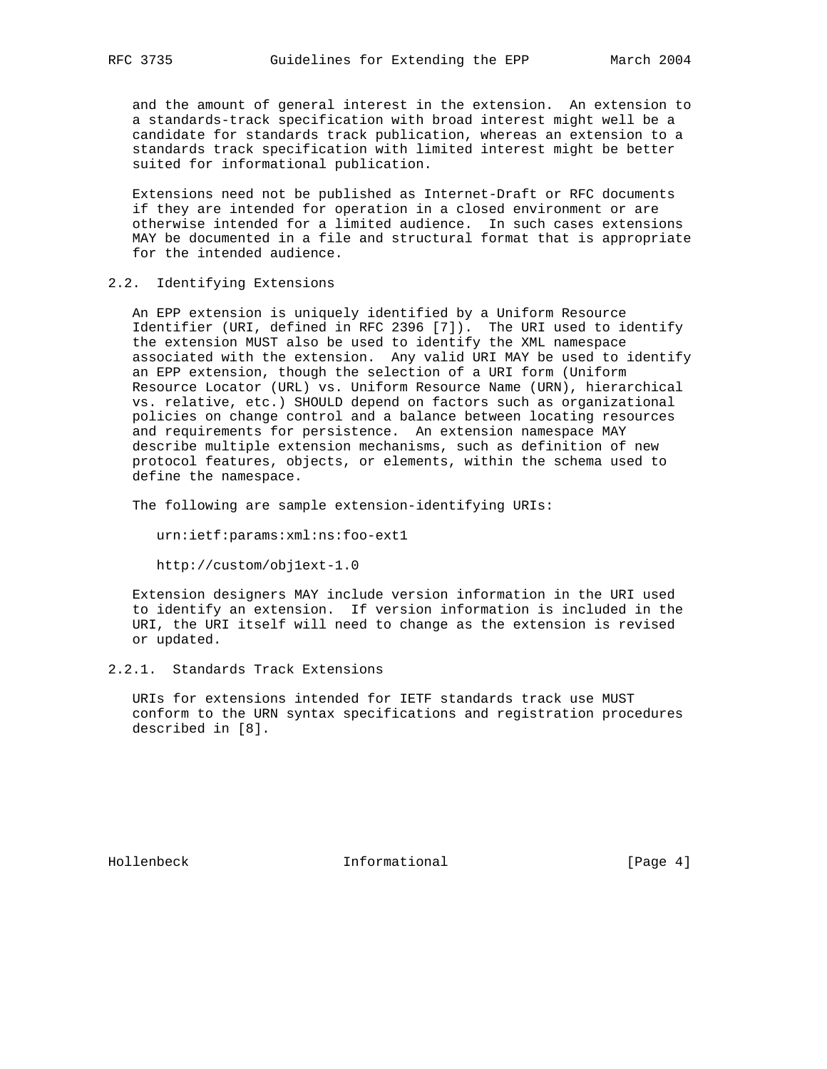and the amount of general interest in the extension. An extension to a standards-track specification with broad interest might well be a candidate for standards track publication, whereas an extension to a standards track specification with limited interest might be better suited for informational publication.

 Extensions need not be published as Internet-Draft or RFC documents if they are intended for operation in a closed environment or are otherwise intended for a limited audience. In such cases extensions MAY be documented in a file and structural format that is appropriate for the intended audience.

## 2.2. Identifying Extensions

 An EPP extension is uniquely identified by a Uniform Resource Identifier (URI, defined in RFC 2396 [7]). The URI used to identify the extension MUST also be used to identify the XML namespace associated with the extension. Any valid URI MAY be used to identify an EPP extension, though the selection of a URI form (Uniform Resource Locator (URL) vs. Uniform Resource Name (URN), hierarchical vs. relative, etc.) SHOULD depend on factors such as organizational policies on change control and a balance between locating resources and requirements for persistence. An extension namespace MAY describe multiple extension mechanisms, such as definition of new protocol features, objects, or elements, within the schema used to define the namespace.

The following are sample extension-identifying URIs:

urn:ietf:params:xml:ns:foo-ext1

http://custom/obj1ext-1.0

 Extension designers MAY include version information in the URI used to identify an extension. If version information is included in the URI, the URI itself will need to change as the extension is revised or updated.

2.2.1. Standards Track Extensions

 URIs for extensions intended for IETF standards track use MUST conform to the URN syntax specifications and registration procedures described in [8].

Hollenbeck Informational [Page 4]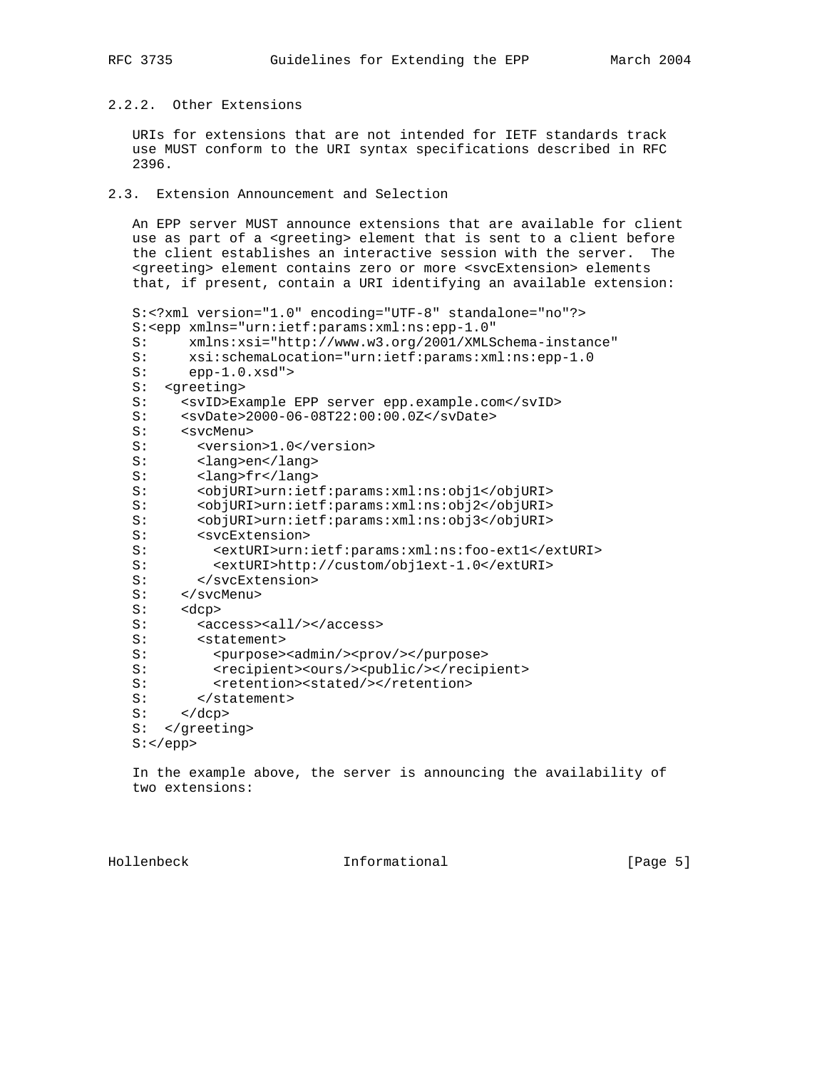# 2.2.2. Other Extensions

 URIs for extensions that are not intended for IETF standards track use MUST conform to the URI syntax specifications described in RFC 2396.

# 2.3. Extension Announcement and Selection

 An EPP server MUST announce extensions that are available for client use as part of a <greeting> element that is sent to a client before the client establishes an interactive session with the server. The <greeting> element contains zero or more <svcExtension> elements that, if present, contain a URI identifying an available extension:

```
 S:<?xml version="1.0" encoding="UTF-8" standalone="no"?>
   S:<epp xmlns="urn:ietf:params:xml:ns:epp-1.0"
   S: xmlns:xsi="http://www.w3.org/2001/XMLSchema-instance"
  S: xsi:schemaLocation="urn:ietf:params:xml:ns:epp-1.0<br>S: epp-1.0.xsd">
        epp-1.0.xsd">
   S: <greeting>
  S: <svID>Example EPP server epp.example.com</svID>
   S: <svDate>2000-06-08T22:00:00.0Z</svDate>
   S: <svcMenu>
  S: <version>1.0</version>
   S: <lang>en</lang>
 S: <lang>fr</lang>
 S: <objURI>urn:ietf:params:xml:ns:obj1</objURI>
 S: <objURI>urn:ietf:params:xml:ns:obj2</objURI>
 S: <objURI>urn:ietf:params:xml:ns:obj3</objURI>
   S: <svcExtension>
   S: <extURI>urn:ietf:params:xml:ns:foo-ext1</extURI>
   S: <extURI>http://custom/obj1ext-1.0</extURI>
  S: </svcExtension>
   S: </svcMenu>
   S: <dcp>
  S: <access><all/>>/access>
   S: <statement>
  S: <p>uppose&gt; <p>admin/> <p>prov/><p>uppose&gt;</math> S: <recipient><ours/><public/></recipient>
   S: <retention><stated/></retention>
  S: </statement><br>S: </dcp>
      \alpha /dcp>
   S: </greeting>
   S:</epp>
```
 In the example above, the server is announcing the availability of two extensions:

Hollenbeck **Informational** Informational [Page 5]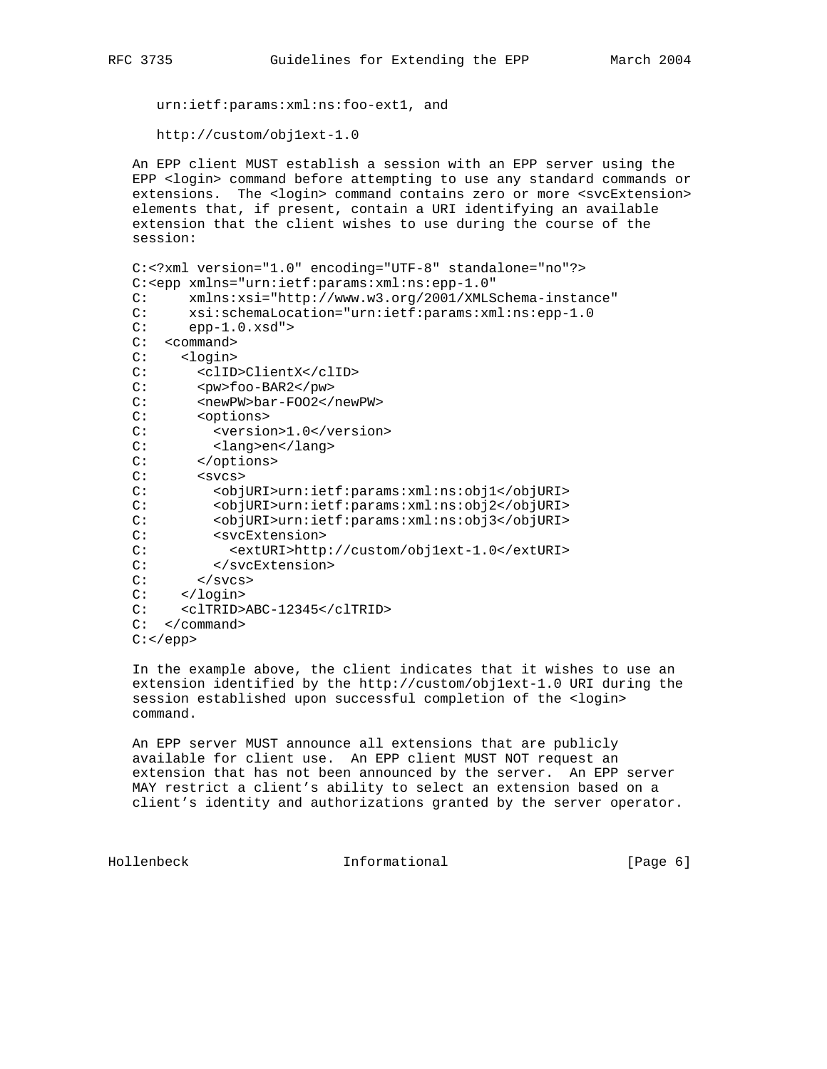urn:ietf:params:xml:ns:foo-ext1, and

http://custom/obj1ext-1.0

 An EPP client MUST establish a session with an EPP server using the EPP <login> command before attempting to use any standard commands or extensions. The <login> command contains zero or more <svcExtension> elements that, if present, contain a URI identifying an available extension that the client wishes to use during the course of the session:

```
 C:<?xml version="1.0" encoding="UTF-8" standalone="no"?>
 C:<epp xmlns="urn:ietf:params:xml:ns:epp-1.0"
 C: xmlns:xsi="http://www.w3.org/2001/XMLSchema-instance"
 C: xsi:schemaLocation="urn:ietf:params:xml:ns:epp-1.0
C: epp-1.0.xsd" C: <command>
 C: <login>
 C: <clID>ClientX</clID>
C: <pw>foo-BAR2</pw>
 C: <newPW>bar-FOO2</newPW>
 C: <options>
C: < version>1.0</version>
C: <lang>en</lang><br>C: </options>
       </options>
C: <svcs>
 C: <objURI>urn:ietf:params:xml:ns:obj1</objURI>
 C: <objURI>urn:ietf:params:xml:ns:obj2</objURI>
C: <br/>
<br/>
<br/>
<br/>
<br/>
<br/>
<br/>
<br/>
<<br/>
<<br/>
<<br/>
<<br/>
<<br/>
<<br/>
<<br/>
C:<br/>
<<br/>
<<br/>
<<br/>
<<br/>
<<br/>
C:<br/>
<<br/>
<<br/>
<<br/>
<<br/>
<<br/>
<<br/>
<<br/>
<<br/>
<<br/>
<<br/>
<
C: <svcExtension><br>C: <svcExtURI>http
              C: <extURI>http://custom/obj1ext-1.0</extURI>
 C: </svcExtension>
C: </svcs>
 C: </login>
 C: <clTRID>ABC-12345</clTRID>
 C: </command>
 C:</epp>
```
 In the example above, the client indicates that it wishes to use an extension identified by the http://custom/obj1ext-1.0 URI during the session established upon successful completion of the <login> command.

 An EPP server MUST announce all extensions that are publicly available for client use. An EPP client MUST NOT request an extension that has not been announced by the server. An EPP server MAY restrict a client's ability to select an extension based on a client's identity and authorizations granted by the server operator.

Hollenbeck **Informational Informational** [Page 6]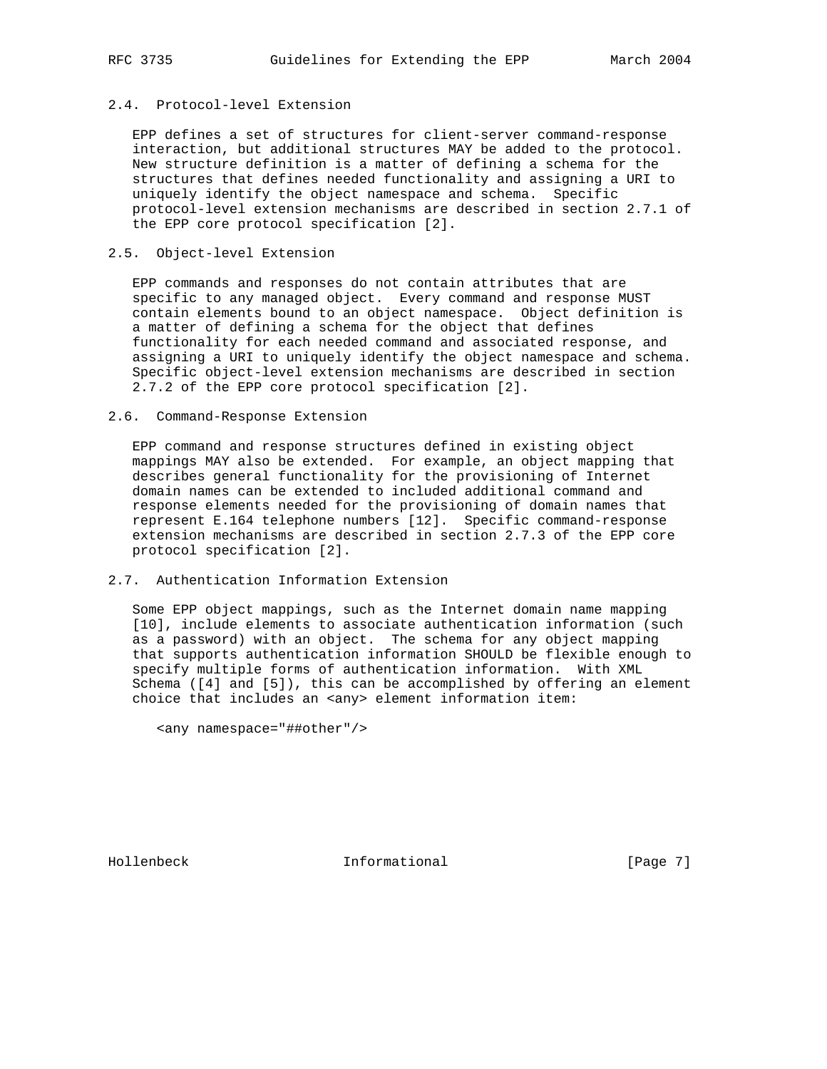# 2.4. Protocol-level Extension

 EPP defines a set of structures for client-server command-response interaction, but additional structures MAY be added to the protocol. New structure definition is a matter of defining a schema for the structures that defines needed functionality and assigning a URI to uniquely identify the object namespace and schema. Specific protocol-level extension mechanisms are described in section 2.7.1 of the EPP core protocol specification [2].

## 2.5. Object-level Extension

 EPP commands and responses do not contain attributes that are specific to any managed object. Every command and response MUST contain elements bound to an object namespace. Object definition is a matter of defining a schema for the object that defines functionality for each needed command and associated response, and assigning a URI to uniquely identify the object namespace and schema. Specific object-level extension mechanisms are described in section 2.7.2 of the EPP core protocol specification [2].

#### 2.6. Command-Response Extension

 EPP command and response structures defined in existing object mappings MAY also be extended. For example, an object mapping that describes general functionality for the provisioning of Internet domain names can be extended to included additional command and response elements needed for the provisioning of domain names that represent E.164 telephone numbers [12]. Specific command-response extension mechanisms are described in section 2.7.3 of the EPP core protocol specification [2].

## 2.7. Authentication Information Extension

 Some EPP object mappings, such as the Internet domain name mapping [10], include elements to associate authentication information (such as a password) with an object. The schema for any object mapping that supports authentication information SHOULD be flexible enough to specify multiple forms of authentication information. With XML Schema ([4] and [5]), this can be accomplished by offering an element choice that includes an <any> element information item:

<any namespace="##other"/>

Hollenbeck **Informational** Informational [Page 7]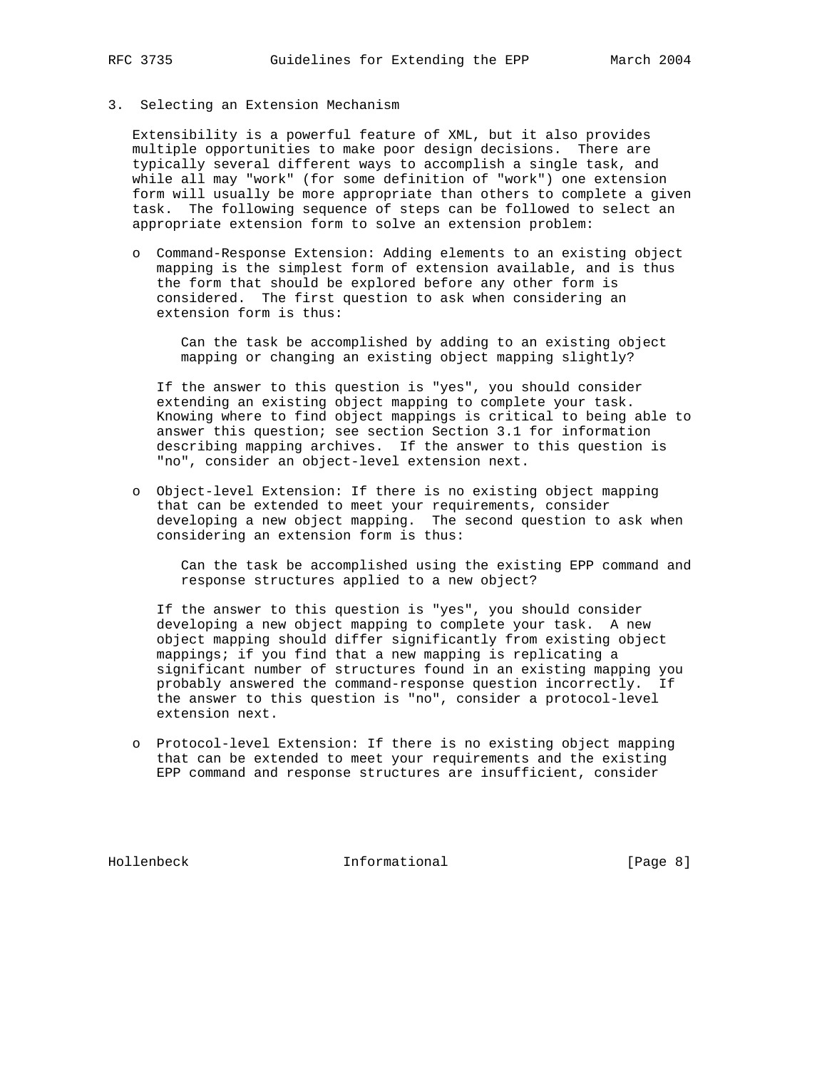3. Selecting an Extension Mechanism

 Extensibility is a powerful feature of XML, but it also provides multiple opportunities to make poor design decisions. There are typically several different ways to accomplish a single task, and while all may "work" (for some definition of "work") one extension form will usually be more appropriate than others to complete a given task. The following sequence of steps can be followed to select an appropriate extension form to solve an extension problem:

 o Command-Response Extension: Adding elements to an existing object mapping is the simplest form of extension available, and is thus the form that should be explored before any other form is considered. The first question to ask when considering an extension form is thus:

 Can the task be accomplished by adding to an existing object mapping or changing an existing object mapping slightly?

 If the answer to this question is "yes", you should consider extending an existing object mapping to complete your task. Knowing where to find object mappings is critical to being able to answer this question; see section Section 3.1 for information describing mapping archives. If the answer to this question is "no", consider an object-level extension next.

 o Object-level Extension: If there is no existing object mapping that can be extended to meet your requirements, consider developing a new object mapping. The second question to ask when considering an extension form is thus:

 Can the task be accomplished using the existing EPP command and response structures applied to a new object?

 If the answer to this question is "yes", you should consider developing a new object mapping to complete your task. A new object mapping should differ significantly from existing object mappings; if you find that a new mapping is replicating a significant number of structures found in an existing mapping you probably answered the command-response question incorrectly. If the answer to this question is "no", consider a protocol-level extension next.

 o Protocol-level Extension: If there is no existing object mapping that can be extended to meet your requirements and the existing EPP command and response structures are insufficient, consider

Hollenbeck Informational [Page 8]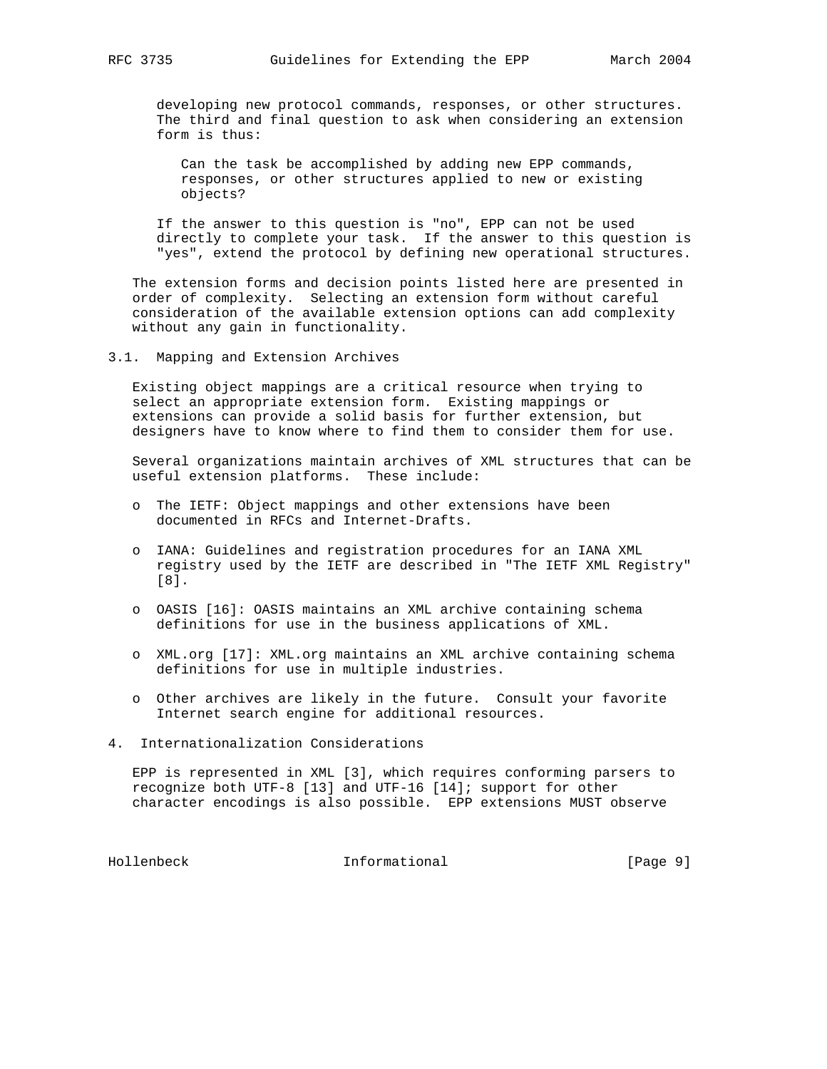developing new protocol commands, responses, or other structures. The third and final question to ask when considering an extension form is thus:

 Can the task be accomplished by adding new EPP commands, responses, or other structures applied to new or existing objects?

 If the answer to this question is "no", EPP can not be used directly to complete your task. If the answer to this question is "yes", extend the protocol by defining new operational structures.

 The extension forms and decision points listed here are presented in order of complexity. Selecting an extension form without careful consideration of the available extension options can add complexity without any gain in functionality.

3.1. Mapping and Extension Archives

 Existing object mappings are a critical resource when trying to select an appropriate extension form. Existing mappings or extensions can provide a solid basis for further extension, but designers have to know where to find them to consider them for use.

 Several organizations maintain archives of XML structures that can be useful extension platforms. These include:

- o The IETF: Object mappings and other extensions have been documented in RFCs and Internet-Drafts.
- o IANA: Guidelines and registration procedures for an IANA XML registry used by the IETF are described in "The IETF XML Registry" [8].
- o OASIS [16]: OASIS maintains an XML archive containing schema definitions for use in the business applications of XML.
- o XML.org [17]: XML.org maintains an XML archive containing schema definitions for use in multiple industries.
- o Other archives are likely in the future. Consult your favorite Internet search engine for additional resources.
- 4. Internationalization Considerations

 EPP is represented in XML [3], which requires conforming parsers to recognize both UTF-8 [13] and UTF-16 [14]; support for other character encodings is also possible. EPP extensions MUST observe

Hollenbeck Informational [Page 9]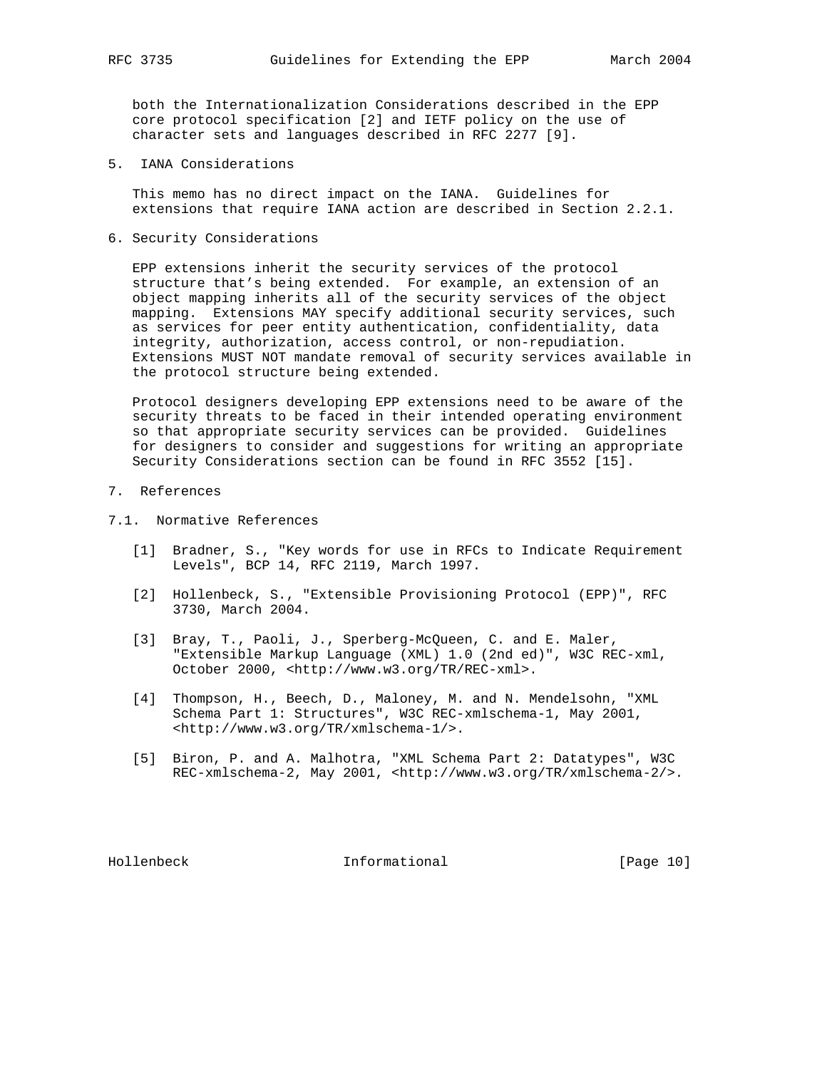both the Internationalization Considerations described in the EPP core protocol specification [2] and IETF policy on the use of character sets and languages described in RFC 2277 [9].

5. IANA Considerations

 This memo has no direct impact on the IANA. Guidelines for extensions that require IANA action are described in Section 2.2.1.

6. Security Considerations

 EPP extensions inherit the security services of the protocol structure that's being extended. For example, an extension of an object mapping inherits all of the security services of the object mapping. Extensions MAY specify additional security services, such as services for peer entity authentication, confidentiality, data integrity, authorization, access control, or non-repudiation. Extensions MUST NOT mandate removal of security services available in the protocol structure being extended.

 Protocol designers developing EPP extensions need to be aware of the security threats to be faced in their intended operating environment so that appropriate security services can be provided. Guidelines for designers to consider and suggestions for writing an appropriate Security Considerations section can be found in RFC 3552 [15].

- 7. References
- 7.1. Normative References
	- [1] Bradner, S., "Key words for use in RFCs to Indicate Requirement Levels", BCP 14, RFC 2119, March 1997.
	- [2] Hollenbeck, S., "Extensible Provisioning Protocol (EPP)", RFC 3730, March 2004.
	- [3] Bray, T., Paoli, J., Sperberg-McQueen, C. and E. Maler, "Extensible Markup Language (XML) 1.0 (2nd ed)", W3C REC-xml, October 2000, <http://www.w3.org/TR/REC-xml>.
	- [4] Thompson, H., Beech, D., Maloney, M. and N. Mendelsohn, "XML Schema Part 1: Structures", W3C REC-xmlschema-1, May 2001, <http://www.w3.org/TR/xmlschema-1/>.
	- [5] Biron, P. and A. Malhotra, "XML Schema Part 2: Datatypes", W3C REC-xmlschema-2, May 2001, <http://www.w3.org/TR/xmlschema-2/>.

Hollenbeck Informational [Page 10]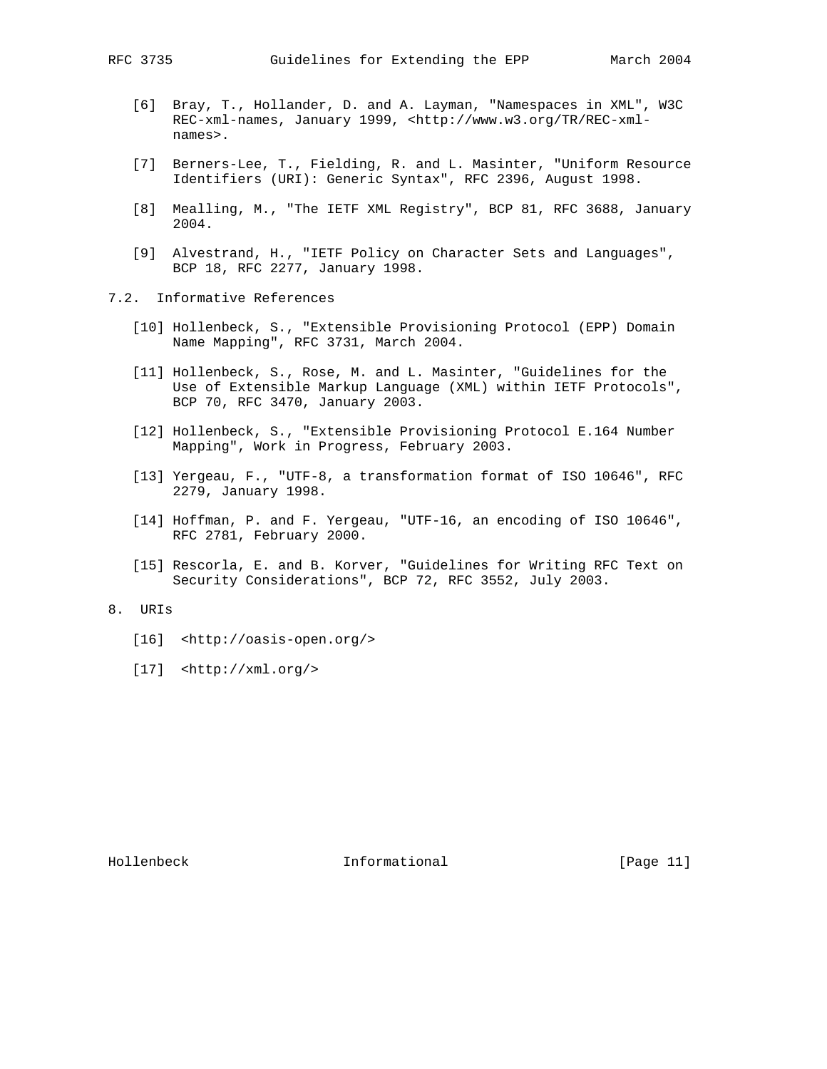- [6] Bray, T., Hollander, D. and A. Layman, "Namespaces in XML", W3C REC-xml-names, January 1999, <http://www.w3.org/TR/REC-xmlnames>.
- [7] Berners-Lee, T., Fielding, R. and L. Masinter, "Uniform Resource Identifiers (URI): Generic Syntax", RFC 2396, August 1998.
- [8] Mealling, M., "The IETF XML Registry", BCP 81, RFC 3688, January 2004.
- [9] Alvestrand, H., "IETF Policy on Character Sets and Languages", BCP 18, RFC 2277, January 1998.
- 7.2. Informative References
	- [10] Hollenbeck, S., "Extensible Provisioning Protocol (EPP) Domain Name Mapping", RFC 3731, March 2004.
	- [11] Hollenbeck, S., Rose, M. and L. Masinter, "Guidelines for the Use of Extensible Markup Language (XML) within IETF Protocols", BCP 70, RFC 3470, January 2003.
	- [12] Hollenbeck, S., "Extensible Provisioning Protocol E.164 Number Mapping", Work in Progress, February 2003.
	- [13] Yergeau, F., "UTF-8, a transformation format of ISO 10646", RFC 2279, January 1998.
	- [14] Hoffman, P. and F. Yergeau, "UTF-16, an encoding of ISO 10646", RFC 2781, February 2000.
	- [15] Rescorla, E. and B. Korver, "Guidelines for Writing RFC Text on Security Considerations", BCP 72, RFC 3552, July 2003.

# 8. URIs

- [16] <http://oasis-open.org/>
- [17] <http://xml.org/>

Hollenbeck Informational [Page 11]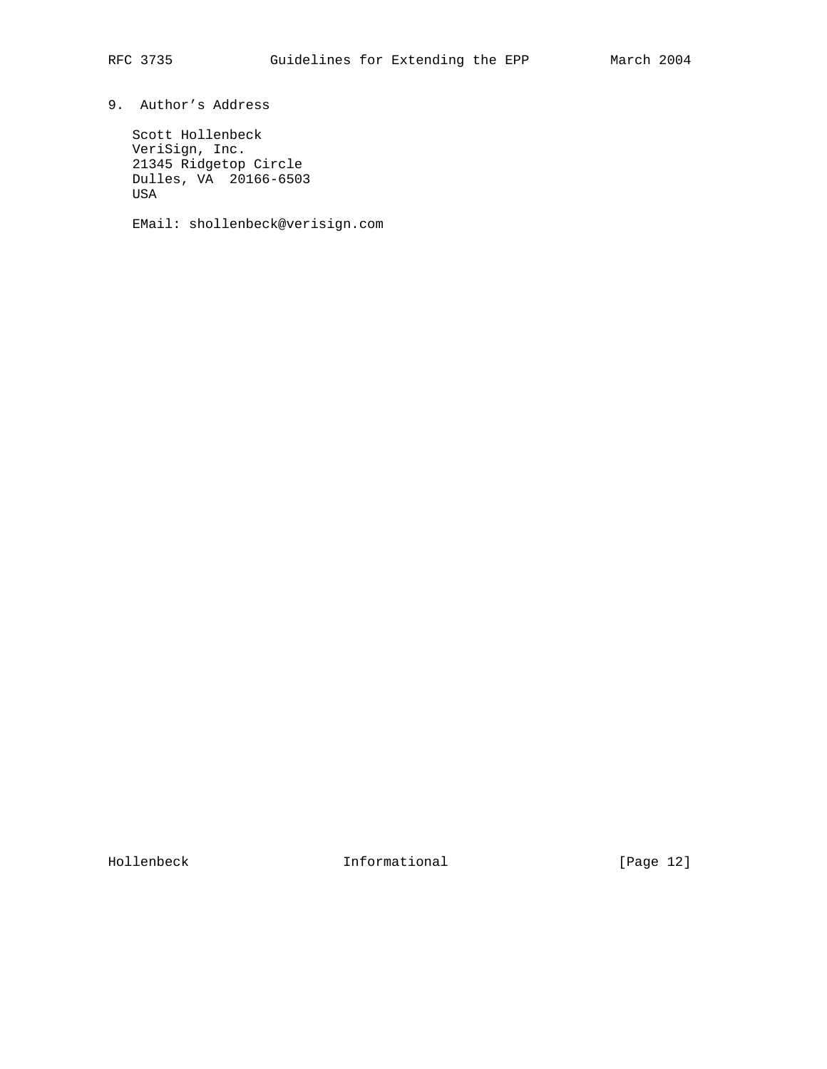# 9. Author's Address

 Scott Hollenbeck VeriSign, Inc. 21345 Ridgetop Circle Dulles, VA 20166-6503 USA

EMail: shollenbeck@verisign.com

Hollenbeck Informational [Page 12]